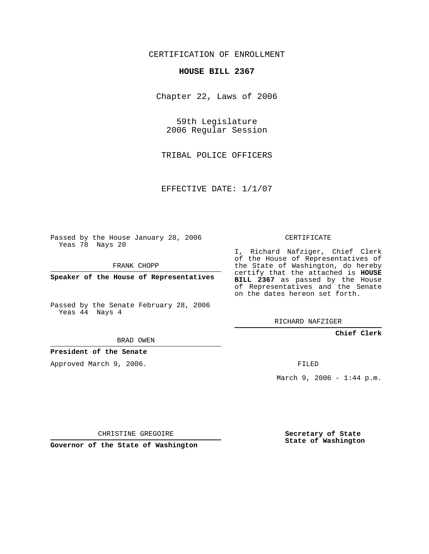# CERTIFICATION OF ENROLLMENT

#### **HOUSE BILL 2367**

Chapter 22, Laws of 2006

59th Legislature 2006 Regular Session

TRIBAL POLICE OFFICERS

EFFECTIVE DATE: 1/1/07

Passed by the House January 28, 2006 Yeas 78 Nays 20

FRANK CHOPP

**Speaker of the House of Representatives**

Passed by the Senate February 28, 2006 Yeas 44 Nays 4

RICHARD NAFZIGER

**Chief Clerk**

BRAD OWEN

**President of the Senate**

Approved March 9, 2006.

FILED

March 9, 2006 - 1:44 p.m.

CHRISTINE GREGOIRE

**Governor of the State of Washington**

**Secretary of State State of Washington**

### CERTIFICATE

I, Richard Nafziger, Chief Clerk of the House of Representatives of the State of Washington, do hereby certify that the attached is **HOUSE BILL 2367** as passed by the House of Representatives and the Senate on the dates hereon set forth.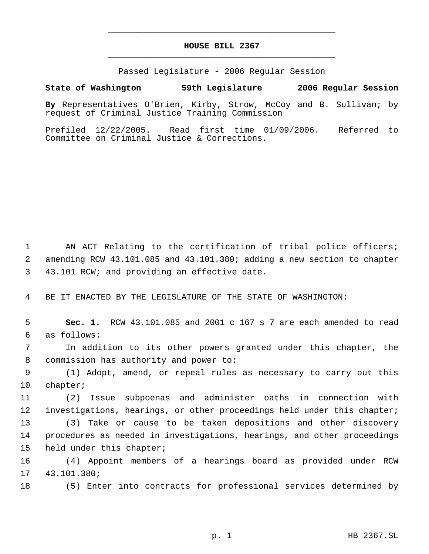# **HOUSE BILL 2367** \_\_\_\_\_\_\_\_\_\_\_\_\_\_\_\_\_\_\_\_\_\_\_\_\_\_\_\_\_\_\_\_\_\_\_\_\_\_\_\_\_\_\_\_\_

\_\_\_\_\_\_\_\_\_\_\_\_\_\_\_\_\_\_\_\_\_\_\_\_\_\_\_\_\_\_\_\_\_\_\_\_\_\_\_\_\_\_\_\_\_

Passed Legislature - 2006 Regular Session

## **State of Washington 59th Legislature 2006 Regular Session**

**By** Representatives O'Brien, Kirby, Strow, McCoy and B. Sullivan; by request of Criminal Justice Training Commission

Prefiled 12/22/2005. Read first time 01/09/2006. Referred to Committee on Criminal Justice & Corrections.

1 AN ACT Relating to the certification of tribal police officers; amending RCW 43.101.085 and 43.101.380; adding a new section to chapter 43.101 RCW; and providing an effective date.

BE IT ENACTED BY THE LEGISLATURE OF THE STATE OF WASHINGTON:

 **Sec. 1.** RCW 43.101.085 and 2001 c 167 s 7 are each amended to read as follows:

 In addition to its other powers granted under this chapter, the commission has authority and power to:

 (1) Adopt, amend, or repeal rules as necessary to carry out this chapter;

 (2) Issue subpoenas and administer oaths in connection with investigations, hearings, or other proceedings held under this chapter;

 (3) Take or cause to be taken depositions and other discovery procedures as needed in investigations, hearings, and other proceedings held under this chapter;

 (4) Appoint members of a hearings board as provided under RCW 43.101.380;

(5) Enter into contracts for professional services determined by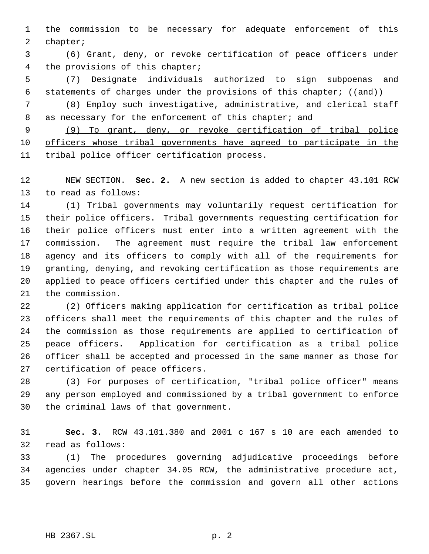the commission to be necessary for adequate enforcement of this chapter;

 (6) Grant, deny, or revoke certification of peace officers under the provisions of this chapter;

 (7) Designate individuals authorized to sign subpoenas and 6 statements of charges under the provisions of this chapter;  $((and))$ 

 (8) Employ such investigative, administrative, and clerical staff 8 as necessary for the enforcement of this chapter; and

 (9) To grant, deny, or revoke certification of tribal police officers whose tribal governments have agreed to participate in the tribal police officer certification process.

 NEW SECTION. **Sec. 2.** A new section is added to chapter 43.101 RCW to read as follows:

 (1) Tribal governments may voluntarily request certification for their police officers. Tribal governments requesting certification for their police officers must enter into a written agreement with the commission. The agreement must require the tribal law enforcement agency and its officers to comply with all of the requirements for granting, denying, and revoking certification as those requirements are applied to peace officers certified under this chapter and the rules of the commission.

 (2) Officers making application for certification as tribal police officers shall meet the requirements of this chapter and the rules of the commission as those requirements are applied to certification of peace officers. Application for certification as a tribal police officer shall be accepted and processed in the same manner as those for certification of peace officers.

 (3) For purposes of certification, "tribal police officer" means any person employed and commissioned by a tribal government to enforce the criminal laws of that government.

 **Sec. 3.** RCW 43.101.380 and 2001 c 167 s 10 are each amended to read as follows:

 (1) The procedures governing adjudicative proceedings before agencies under chapter 34.05 RCW, the administrative procedure act, govern hearings before the commission and govern all other actions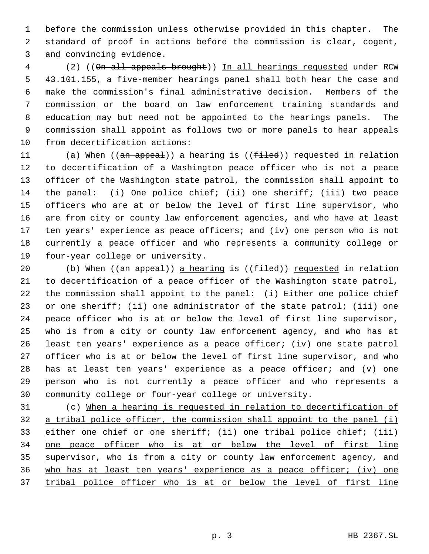before the commission unless otherwise provided in this chapter. The standard of proof in actions before the commission is clear, cogent, and convincing evidence.

 (2) ((On all appeals brought)) In all hearings requested under RCW 43.101.155, a five-member hearings panel shall both hear the case and make the commission's final administrative decision. Members of the commission or the board on law enforcement training standards and education may but need not be appointed to the hearings panels. The commission shall appoint as follows two or more panels to hear appeals from decertification actions:

11 (a) When ((an appeal)) a hearing is ((filed)) requested in relation to decertification of a Washington peace officer who is not a peace officer of the Washington state patrol, the commission shall appoint to the panel: (i) One police chief; (ii) one sheriff; (iii) two peace officers who are at or below the level of first line supervisor, who are from city or county law enforcement agencies, and who have at least ten years' experience as peace officers; and (iv) one person who is not currently a peace officer and who represents a community college or four-year college or university.

20 (b) When  $((an *appeal*)) a *hearing* is  $((f$ *iled*)) *requested* in relation$  to decertification of a peace officer of the Washington state patrol, the commission shall appoint to the panel: (i) Either one police chief or one sheriff; (ii) one administrator of the state patrol; (iii) one peace officer who is at or below the level of first line supervisor, who is from a city or county law enforcement agency, and who has at least ten years' experience as a peace officer; (iv) one state patrol officer who is at or below the level of first line supervisor, and who has at least ten years' experience as a peace officer; and (v) one person who is not currently a peace officer and who represents a community college or four-year college or university.

 (c) When a hearing is requested in relation to decertification of 32 a tribal police officer, the commission shall appoint to the panel (i) either one chief or one sheriff; (ii) one tribal police chief; (iii) one peace officer who is at or below the level of first line 35 supervisor, who is from a city or county law enforcement agency, and who has at least ten years' experience as a peace officer; (iv) one tribal police officer who is at or below the level of first line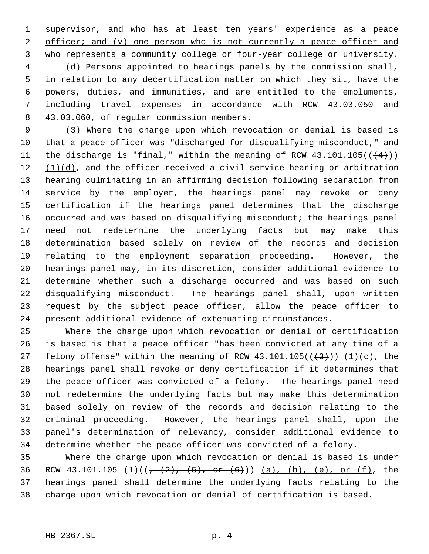supervisor, and who has at least ten years' experience as a peace 2 officer; and (v) one person who is not currently a peace officer and who represents a community college or four-year college or university.

 (d) Persons appointed to hearings panels by the commission shall, in relation to any decertification matter on which they sit, have the powers, duties, and immunities, and are entitled to the emoluments, including travel expenses in accordance with RCW 43.03.050 and 43.03.060, of regular commission members.

 (3) Where the charge upon which revocation or denial is based is that a peace officer was "discharged for disqualifying misconduct," and 11 the discharge is "final," within the meaning of RCW  $43.101.105((\leftarrow 4))$  $(1)(d)$ , and the officer received a civil service hearing or arbitration hearing culminating in an affirming decision following separation from service by the employer, the hearings panel may revoke or deny certification if the hearings panel determines that the discharge occurred and was based on disqualifying misconduct; the hearings panel need not redetermine the underlying facts but may make this determination based solely on review of the records and decision relating to the employment separation proceeding. However, the hearings panel may, in its discretion, consider additional evidence to determine whether such a discharge occurred and was based on such disqualifying misconduct. The hearings panel shall, upon written request by the subject peace officer, allow the peace officer to present additional evidence of extenuating circumstances.

 Where the charge upon which revocation or denial of certification is based is that a peace officer "has been convicted at any time of a 27 felony offense" within the meaning of RCW  $43.101.105(\overline{(+3)}))$   $(1)(c)$ , the hearings panel shall revoke or deny certification if it determines that the peace officer was convicted of a felony. The hearings panel need not redetermine the underlying facts but may make this determination based solely on review of the records and decision relating to the criminal proceeding. However, the hearings panel shall, upon the panel's determination of relevancy, consider additional evidence to determine whether the peace officer was convicted of a felony.

 Where the charge upon which revocation or denial is based is under 36 RCW 43.101.105 (1)( $(-\frac{2}{7}, \frac{5}{7}, -0$   $(-6)^{2}$ )) (a), (b), (e), or (f), the hearings panel shall determine the underlying facts relating to the charge upon which revocation or denial of certification is based.